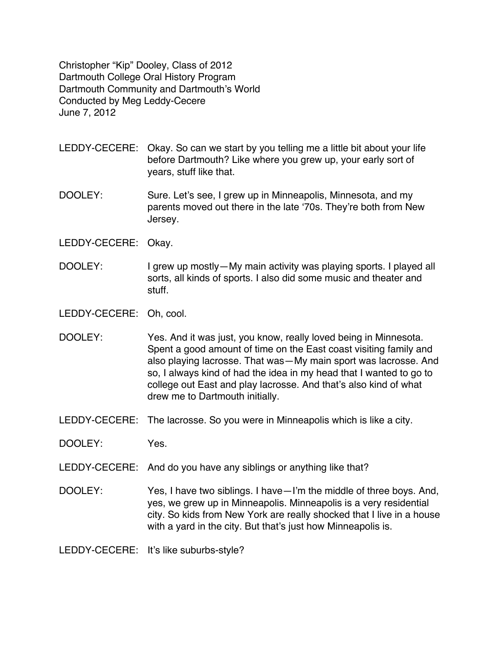Christopher "Kip" Dooley, Class of 2012 Dartmouth College Oral History Program Dartmouth Community and Dartmouth's World Conducted by Meg Leddy-Cecere June 7, 2012

- LEDDY-CECERE: Okay. So can we start by you telling me a little bit about your life before Dartmouth? Like where you grew up, your early sort of years, stuff like that.
- DOOLEY: Sure. Let's see, I grew up in Minneapolis, Minnesota, and my parents moved out there in the late ʻ70s. They're both from New Jersey.
- LEDDY-CECERE: Okay.
- DOOLEY: I grew up mostly—My main activity was playing sports. I played all sorts, all kinds of sports. I also did some music and theater and stuff.

LEDDY-CECERE: Oh, cool.

- DOOLEY: Yes. And it was just, you know, really loved being in Minnesota. Spent a good amount of time on the East coast visiting family and also playing lacrosse. That was—My main sport was lacrosse. And so, I always kind of had the idea in my head that I wanted to go to college out East and play lacrosse. And that's also kind of what drew me to Dartmouth initially.
- LEDDY-CECERE: The lacrosse. So you were in Minneapolis which is like a city.

DOOLEY: Yes.

- LEDDY-CECERE: And do you have any siblings or anything like that?
- DOOLEY: Yes, I have two siblings. I have—I'm the middle of three boys. And, yes, we grew up in Minneapolis. Minneapolis is a very residential city. So kids from New York are really shocked that I live in a house with a yard in the city. But that's just how Minneapolis is.

LEDDY-CECERE: It's like suburbs-style?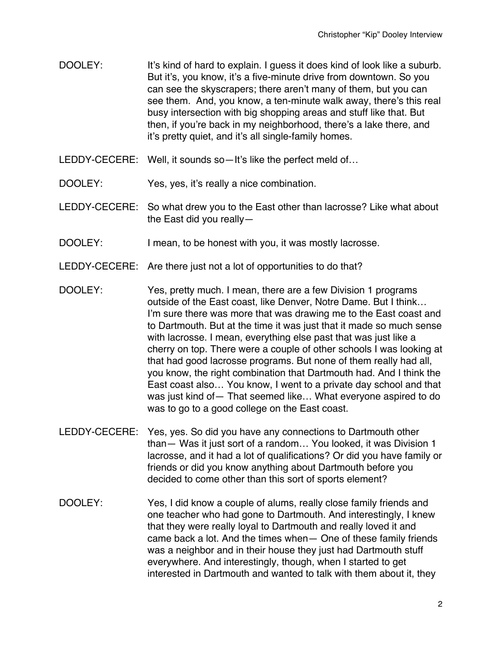- DOOLEY: It's kind of hard to explain. I guess it does kind of look like a suburb. But it's, you know, it's a five-minute drive from downtown. So you can see the skyscrapers; there aren't many of them, but you can see them. And, you know, a ten-minute walk away, there's this real busy intersection with big shopping areas and stuff like that. But then, if you're back in my neighborhood, there's a lake there, and it's pretty quiet, and it's all single-family homes.
- LEDDY-CECERE: Well, it sounds so-It's like the perfect meld of...
- DOOLEY: Yes, yes, it's really a nice combination.
- LEDDY-CECERE: So what drew you to the East other than lacrosse? Like what about the East did you really—
- DOOLEY: I mean, to be honest with you, it was mostly lacrosse.
- LEDDY-CECERE: Are there just not a lot of opportunities to do that?
- DOOLEY: Yes, pretty much. I mean, there are a few Division 1 programs outside of the East coast, like Denver, Notre Dame. But I think… I'm sure there was more that was drawing me to the East coast and to Dartmouth. But at the time it was just that it made so much sense with lacrosse. I mean, everything else past that was just like a cherry on top. There were a couple of other schools I was looking at that had good lacrosse programs. But none of them really had all, you know, the right combination that Dartmouth had. And I think the East coast also… You know, I went to a private day school and that was just kind of— That seemed like… What everyone aspired to do was to go to a good college on the East coast.
- LEDDY-CECERE: Yes, yes. So did you have any connections to Dartmouth other than— Was it just sort of a random… You looked, it was Division 1 lacrosse, and it had a lot of qualifications? Or did you have family or friends or did you know anything about Dartmouth before you decided to come other than this sort of sports element?
- DOOLEY: Yes, I did know a couple of alums, really close family friends and one teacher who had gone to Dartmouth. And interestingly, I knew that they were really loyal to Dartmouth and really loved it and came back a lot. And the times when— One of these family friends was a neighbor and in their house they just had Dartmouth stuff everywhere. And interestingly, though, when I started to get interested in Dartmouth and wanted to talk with them about it, they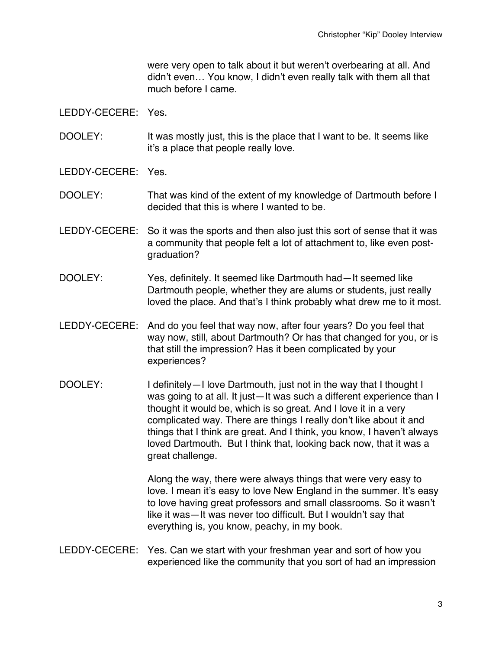were very open to talk about it but weren't overbearing at all. And didn't even… You know, I didn't even really talk with them all that much before I came.

#### LEDDY-CECERE: Yes.

- DOOLEY: It was mostly just, this is the place that I want to be. It seems like it's a place that people really love.
- LEDDY-CECERE: Yes.

DOOLEY: That was kind of the extent of my knowledge of Dartmouth before I decided that this is where I wanted to be.

- LEDDY-CECERE: So it was the sports and then also just this sort of sense that it was a community that people felt a lot of attachment to, like even postgraduation?
- DOOLEY: Yes, definitely. It seemed like Dartmouth had—It seemed like Dartmouth people, whether they are alums or students, just really loved the place. And that's I think probably what drew me to it most.
- LEDDY-CECERE: And do you feel that way now, after four years? Do you feel that way now, still, about Dartmouth? Or has that changed for you, or is that still the impression? Has it been complicated by your experiences?
- DOOLEY: I definitely—I love Dartmouth, just not in the way that I thought I was going to at all. It just—It was such a different experience than I thought it would be, which is so great. And I love it in a very complicated way. There are things I really don't like about it and things that I think are great. And I think, you know, I haven't always loved Dartmouth. But I think that, looking back now, that it was a great challenge.

Along the way, there were always things that were very easy to love. I mean it's easy to love New England in the summer. It's easy to love having great professors and small classrooms. So it wasn't like it was—It was never too difficult. But I wouldn't say that everything is, you know, peachy, in my book.

LEDDY-CECERE: Yes. Can we start with your freshman year and sort of how you experienced like the community that you sort of had an impression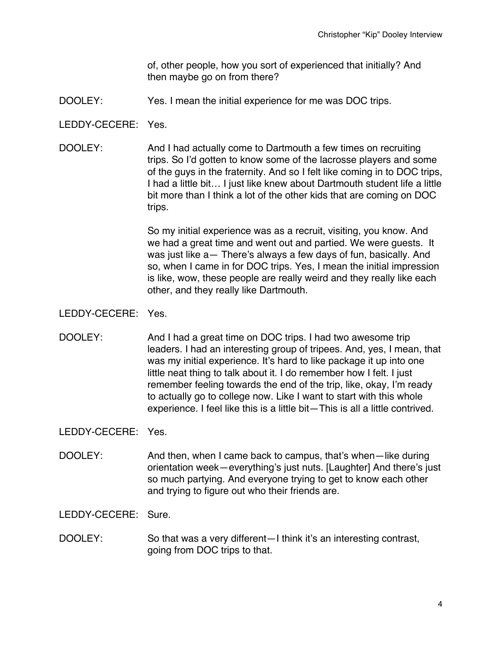of, other people, how you sort of experienced that initially? And then maybe go on from there?

- DOOLEY: Yes. I mean the initial experience for me was DOC trips.
- LEDDY-CECERE: Yes.
- DOOLEY: And I had actually come to Dartmouth a few times on recruiting trips. So I'd gotten to know some of the lacrosse players and some of the guys in the fraternity. And so I felt like coming in to DOC trips, I had a little bit… I just like knew about Dartmouth student life a little bit more than I think a lot of the other kids that are coming on DOC trips.

So my initial experience was as a recruit, visiting, you know. And we had a great time and went out and partied. We were guests. It was just like a— There's always a few days of fun, basically. And so, when I came in for DOC trips. Yes, I mean the initial impression is like, wow, these people are really weird and they really like each other, and they really like Dartmouth.

LEDDY-CECERE: Yes.

DOOLEY: And I had a great time on DOC trips. I had two awesome trip leaders. I had an interesting group of tripees. And, yes, I mean, that was my initial experience. It's hard to like package it up into one little neat thing to talk about it. I do remember how I felt. I just remember feeling towards the end of the trip, like, okay, I'm ready to actually go to college now. Like I want to start with this whole experience. I feel like this is a little bit—This is all a little contrived.

LEDDY-CECERE: Yes.

DOOLEY: And then, when I came back to campus, that's when—like during orientation week—everything's just nuts. [Laughter] And there's just so much partying. And everyone trying to get to know each other and trying to figure out who their friends are.

LEDDY-CECERE: Sure.

DOOLEY: So that was a very different—I think it's an interesting contrast, going from DOC trips to that.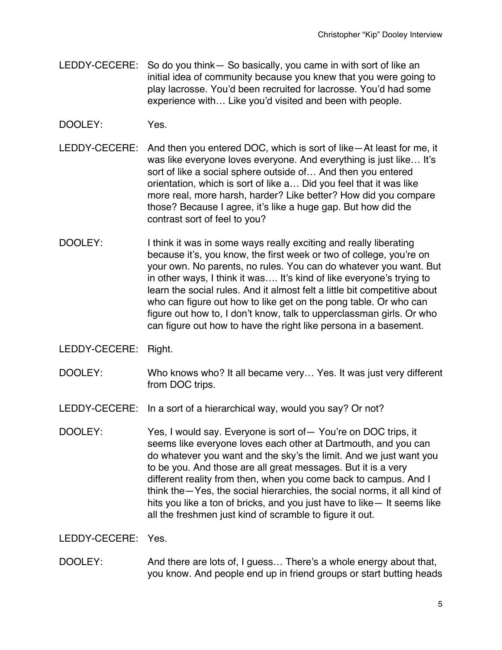- LEDDY-CECERE: So do you think— So basically, you came in with sort of like an initial idea of community because you knew that you were going to play lacrosse. You'd been recruited for lacrosse. You'd had some experience with… Like you'd visited and been with people.
- DOOLEY: Yes.
- LEDDY-CECERE: And then you entered DOC, which is sort of like—At least for me, it was like everyone loves everyone. And everything is just like… It's sort of like a social sphere outside of… And then you entered orientation, which is sort of like a… Did you feel that it was like more real, more harsh, harder? Like better? How did you compare those? Because I agree, it's like a huge gap. But how did the contrast sort of feel to you?
- DOOLEY: I think it was in some ways really exciting and really liberating because it's, you know, the first week or two of college, you're on your own. No parents, no rules. You can do whatever you want. But in other ways, I think it was…. It's kind of like everyone's trying to learn the social rules. And it almost felt a little bit competitive about who can figure out how to like get on the pong table. Or who can figure out how to, I don't know, talk to upperclassman girls. Or who can figure out how to have the right like persona in a basement.
- LEDDY-CECERE: Right.
- DOOLEY: Who knows who? It all became very... Yes. It was just very different from DOC trips.
- LEDDY-CECERE: In a sort of a hierarchical way, would you say? Or not?
- DOOLEY: Yes, I would say. Everyone is sort of— You're on DOC trips, it seems like everyone loves each other at Dartmouth, and you can do whatever you want and the sky's the limit. And we just want you to be you. And those are all great messages. But it is a very different reality from then, when you come back to campus. And I think the—Yes, the social hierarchies, the social norms, it all kind of hits you like a ton of bricks, and you just have to like— It seems like all the freshmen just kind of scramble to figure it out.

LEDDY-CECERE: Yes.

DOOLEY: And there are lots of, I guess... There's a whole energy about that, you know. And people end up in friend groups or start butting heads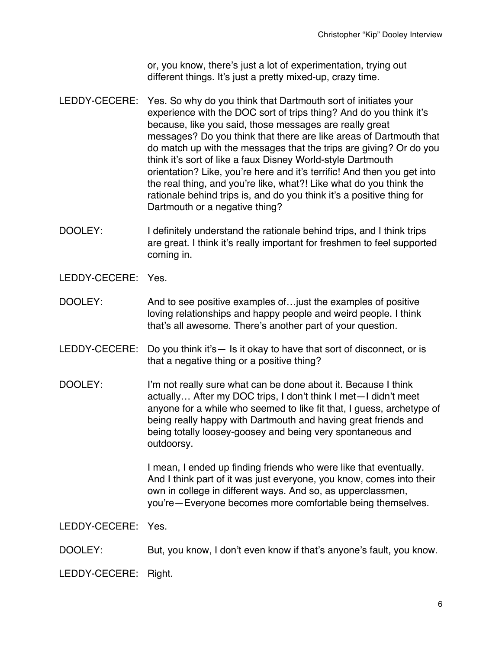or, you know, there's just a lot of experimentation, trying out different things. It's just a pretty mixed-up, crazy time.

- LEDDY-CECERE: Yes. So why do you think that Dartmouth sort of initiates your experience with the DOC sort of trips thing? And do you think it's because, like you said, those messages are really great messages? Do you think that there are like areas of Dartmouth that do match up with the messages that the trips are giving? Or do you think it's sort of like a faux Disney World-style Dartmouth orientation? Like, you're here and it's terrific! And then you get into the real thing, and you're like, what?! Like what do you think the rationale behind trips is, and do you think it's a positive thing for Dartmouth or a negative thing?
- DOOLEY: I definitely understand the rationale behind trips, and I think trips are great. I think it's really important for freshmen to feel supported coming in.
- LEDDY-CECERE: Yes.
- DOOLEY: And to see positive examples of... just the examples of positive loving relationships and happy people and weird people. I think that's all awesome. There's another part of your question.
- LEDDY-CECERE: Do you think it's— Is it okay to have that sort of disconnect, or is that a negative thing or a positive thing?
- DOOLEY: I'm not really sure what can be done about it. Because I think actually… After my DOC trips, I don't think I met—I didn't meet anyone for a while who seemed to like fit that, I guess, archetype of being really happy with Dartmouth and having great friends and being totally loosey-goosey and being very spontaneous and outdoorsy.

I mean, I ended up finding friends who were like that eventually. And I think part of it was just everyone, you know, comes into their own in college in different ways. And so, as upperclassmen, you're—Everyone becomes more comfortable being themselves.

LEDDY-CECERE: Yes.

DOOLEY: But, you know, I don't even know if that's anyone's fault, you know.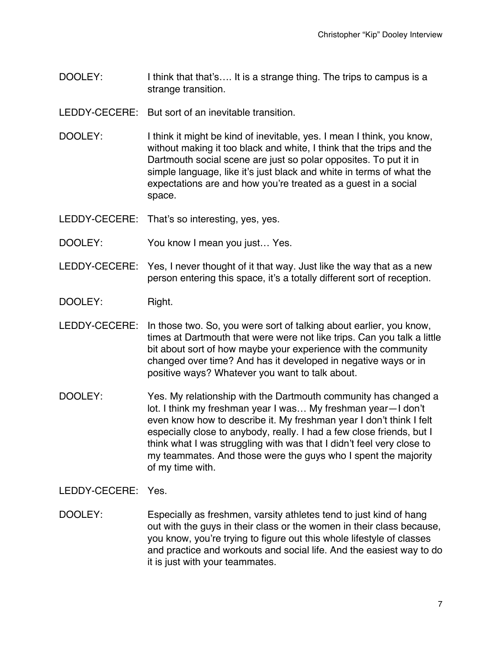- DOOLEY: I think that that's.... It is a strange thing. The trips to campus is a strange transition.
- LEDDY-CECERE: But sort of an inevitable transition.
- DOOLEY: I think it might be kind of inevitable, yes. I mean I think, you know, without making it too black and white, I think that the trips and the Dartmouth social scene are just so polar opposites. To put it in simple language, like it's just black and white in terms of what the expectations are and how you're treated as a guest in a social space.
- LEDDY-CECERE: That's so interesting, yes, yes.
- DOOLEY: You know I mean you just... Yes.
- LEDDY-CECERE: Yes, I never thought of it that way. Just like the way that as a new person entering this space, it's a totally different sort of reception.
- DOOLEY: Right.
- LEDDY-CECERE: In those two. So, you were sort of talking about earlier, you know, times at Dartmouth that were were not like trips. Can you talk a little bit about sort of how maybe your experience with the community changed over time? And has it developed in negative ways or in positive ways? Whatever you want to talk about.
- DOOLEY: Yes. My relationship with the Dartmouth community has changed a lot. I think my freshman year I was… My freshman year—I don't even know how to describe it. My freshman year I don't think I felt especially close to anybody, really. I had a few close friends, but I think what I was struggling with was that I didn't feel very close to my teammates. And those were the guys who I spent the majority of my time with.

LEDDY-CECERE: Yes.

DOOLEY: Especially as freshmen, varsity athletes tend to just kind of hang out with the guys in their class or the women in their class because, you know, you're trying to figure out this whole lifestyle of classes and practice and workouts and social life. And the easiest way to do it is just with your teammates.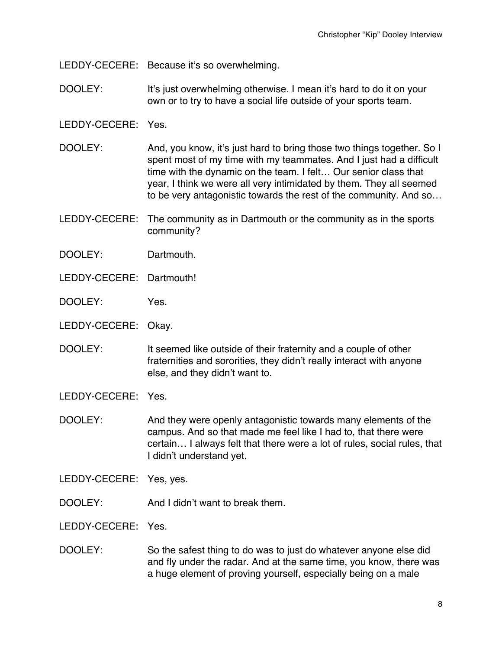LEDDY-CECERE: Because it's so overwhelming.

DOOLEY: It's just overwhelming otherwise. I mean it's hard to do it on your own or to try to have a social life outside of your sports team.

- DOOLEY: And, you know, it's just hard to bring those two things together. So I spent most of my time with my teammates. And I just had a difficult time with the dynamic on the team. I felt… Our senior class that year, I think we were all very intimidated by them. They all seemed to be very antagonistic towards the rest of the community. And so…
- LEDDY-CECERE: The community as in Dartmouth or the community as in the sports community?
- DOOLEY: Dartmouth.
- LEDDY-CECERE: Dartmouth!
- DOOLEY: Yes.
- LEDDY-CECERE: Okay.
- DOOLEY: It seemed like outside of their fraternity and a couple of other fraternities and sororities, they didn't really interact with anyone else, and they didn't want to.
- LEDDY-CECERE: Yes.
- DOOLEY: And they were openly antagonistic towards many elements of the campus. And so that made me feel like I had to, that there were certain… I always felt that there were a lot of rules, social rules, that I didn't understand yet.
- LEDDY-CECERE: Yes, yes.
- DOOLEY: And I didn't want to break them.
- LEDDY-CECERE: Yes.
- DOOLEY: So the safest thing to do was to just do whatever anyone else did and fly under the radar. And at the same time, you know, there was a huge element of proving yourself, especially being on a male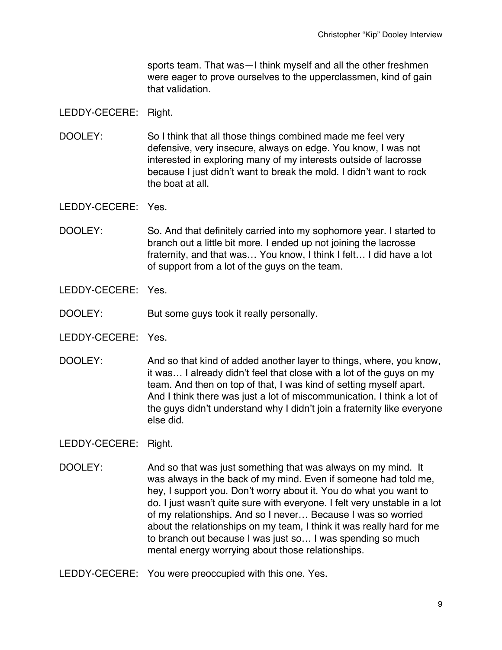sports team. That was—I think myself and all the other freshmen were eager to prove ourselves to the upperclassmen, kind of gain that validation.

#### LEDDY-CECERE: Right.

DOOLEY: So I think that all those things combined made me feel very defensive, very insecure, always on edge. You know, I was not interested in exploring many of my interests outside of lacrosse because I just didn't want to break the mold. I didn't want to rock the boat at all.

LEDDY-CECERE: Yes.

DOOLEY: So. And that definitely carried into my sophomore year. I started to branch out a little bit more. I ended up not joining the lacrosse fraternity, and that was… You know, I think I felt… I did have a lot of support from a lot of the guys on the team.

LEDDY-CECERE: Yes.

DOOLEY: But some guys took it really personally.

LEDDY-CECERE: Yes.

DOOLEY: And so that kind of added another layer to things, where, you know, it was… I already didn't feel that close with a lot of the guys on my team. And then on top of that, I was kind of setting myself apart. And I think there was just a lot of miscommunication. I think a lot of the guys didn't understand why I didn't join a fraternity like everyone else did.

- DOOLEY: And so that was just something that was always on my mind. It was always in the back of my mind. Even if someone had told me, hey, I support you. Don't worry about it. You do what you want to do. I just wasn't quite sure with everyone. I felt very unstable in a lot of my relationships. And so I never… Because I was so worried about the relationships on my team, I think it was really hard for me to branch out because I was just so… I was spending so much mental energy worrying about those relationships.
- LEDDY-CECERE: You were preoccupied with this one. Yes.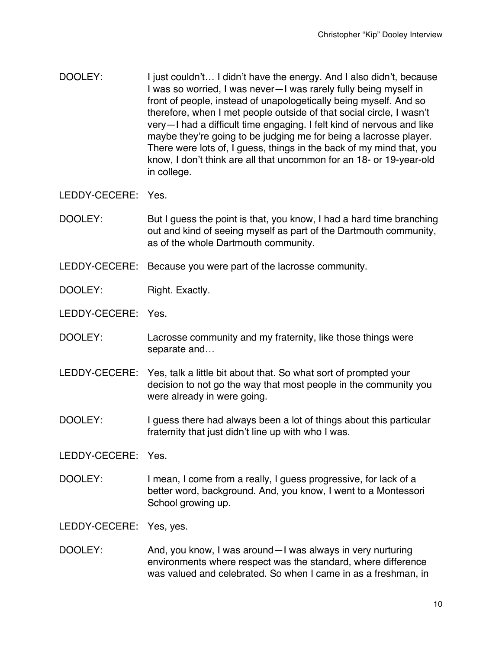DOOLEY: I just couldn't... I didn't have the energy. And I also didn't, because I was so worried, I was never—I was rarely fully being myself in front of people, instead of unapologetically being myself. And so therefore, when I met people outside of that social circle, I wasn't very—I had a difficult time engaging. I felt kind of nervous and like maybe they're going to be judging me for being a lacrosse player. There were lots of, I guess, things in the back of my mind that, you know, I don't think are all that uncommon for an 18- or 19-year-old in college.

LEDDY-CECERE: Yes.

- DOOLEY: But I guess the point is that, you know, I had a hard time branching out and kind of seeing myself as part of the Dartmouth community, as of the whole Dartmouth community.
- LEDDY-CECERE: Because you were part of the lacrosse community.
- DOOLEY: Right. Exactly.
- LEDDY-CECERE: Yes.
- DOOLEY: Lacrosse community and my fraternity, like those things were separate and…
- LEDDY-CECERE: Yes, talk a little bit about that. So what sort of prompted your decision to not go the way that most people in the community you were already in were going.
- DOOLEY: I guess there had always been a lot of things about this particular fraternity that just didn't line up with who I was.

LEDDY-CECERE: Yes.

DOOLEY: I mean, I come from a really, I quess progressive, for lack of a better word, background. And, you know, I went to a Montessori School growing up.

LEDDY-CECERE: Yes, yes.

DOOLEY: And, you know, I was around—I was always in very nurturing environments where respect was the standard, where difference was valued and celebrated. So when I came in as a freshman, in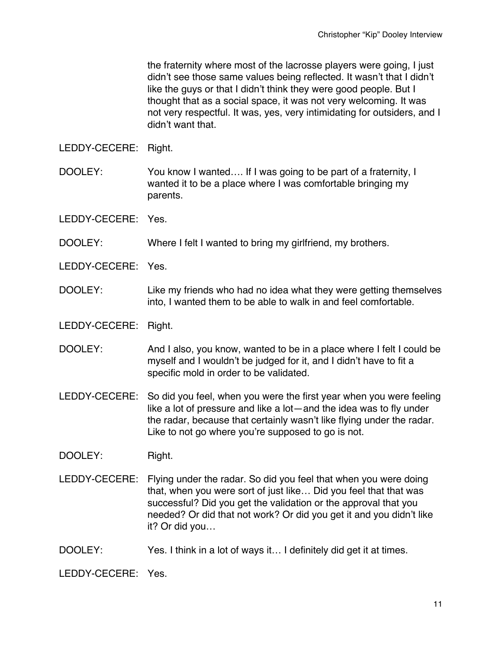the fraternity where most of the lacrosse players were going, I just didn't see those same values being reflected. It wasn't that I didn't like the guys or that I didn't think they were good people. But I thought that as a social space, it was not very welcoming. It was not very respectful. It was, yes, very intimidating for outsiders, and I didn't want that.

LEDDY-CECERE: Right.

- DOOLEY: You know I wanted.... If I was going to be part of a fraternity, I wanted it to be a place where I was comfortable bringing my parents.
- LEDDY-CECERE: Yes.
- DOOLEY: Where I felt I wanted to bring my girlfriend, my brothers.
- LEDDY-CECERE: Yes.
- DOOLEY: Like my friends who had no idea what they were getting themselves into, I wanted them to be able to walk in and feel comfortable.
- LEDDY-CECERE: Right.
- DOOLEY: And I also, you know, wanted to be in a place where I felt I could be myself and I wouldn't be judged for it, and I didn't have to fit a specific mold in order to be validated.
- LEDDY-CECERE: So did you feel, when you were the first year when you were feeling like a lot of pressure and like a lot—and the idea was to fly under the radar, because that certainly wasn't like flying under the radar. Like to not go where you're supposed to go is not.
- DOOLEY: Right.
- LEDDY-CECERE: Flying under the radar. So did you feel that when you were doing that, when you were sort of just like… Did you feel that that was successful? Did you get the validation or the approval that you needed? Or did that not work? Or did you get it and you didn't like it? Or did you…
- DOOLEY: Yes. I think in a lot of ways it... I definitely did get it at times.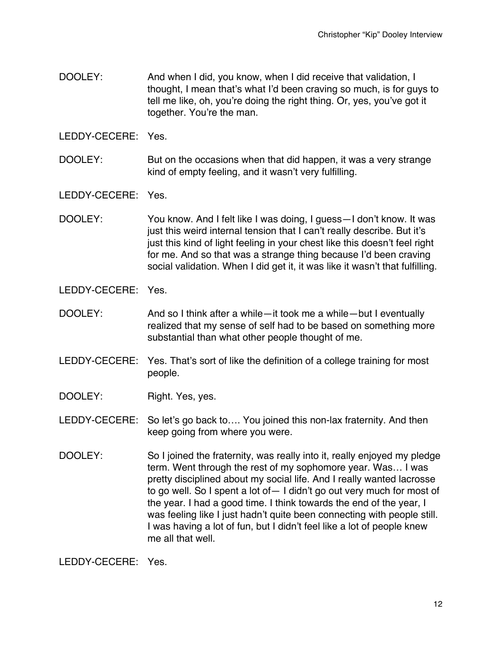DOOLEY: And when I did, you know, when I did receive that validation, I thought, I mean that's what I'd been craving so much, is for guys to tell me like, oh, you're doing the right thing. Or, yes, you've got it together. You're the man.

LEDDY-CECERE: Yes.

DOOLEY: But on the occasions when that did happen, it was a very strange kind of empty feeling, and it wasn't very fulfilling.

LEDDY-CECERE: Yes.

DOOLEY: You know. And I felt like I was doing, I guess—I don't know. It was just this weird internal tension that I can't really describe. But it's just this kind of light feeling in your chest like this doesn't feel right for me. And so that was a strange thing because I'd been craving social validation. When I did get it, it was like it wasn't that fulfilling.

LEDDY-CECERE: Yes.

- DOOLEY: And so I think after a while—it took me a while—but I eventually realized that my sense of self had to be based on something more substantial than what other people thought of me.
- LEDDY-CECERE: Yes. That's sort of like the definition of a college training for most people.
- DOOLEY: Right. Yes, yes.

LEDDY-CECERE: So let's go back to…. You joined this non-lax fraternity. And then keep going from where you were.

DOOLEY: So I joined the fraternity, was really into it, really enjoyed my pledge term. Went through the rest of my sophomore year. Was… I was pretty disciplined about my social life. And I really wanted lacrosse to go well. So I spent a lot of— I didn't go out very much for most of the year. I had a good time. I think towards the end of the year, I was feeling like I just hadn't quite been connecting with people still. I was having a lot of fun, but I didn't feel like a lot of people knew me all that well.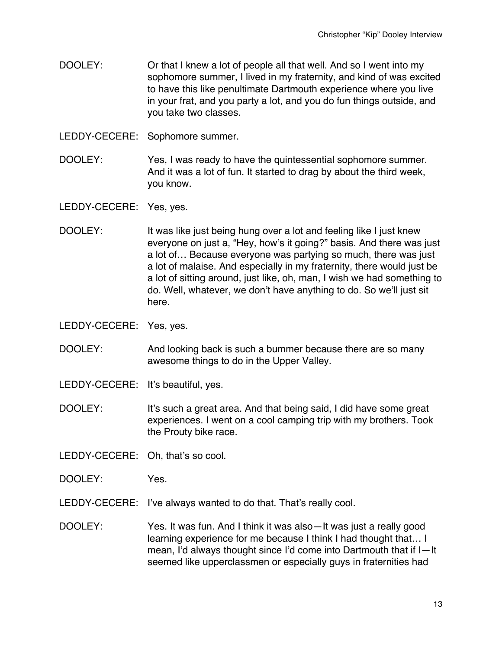- DOOLEY: Or that I knew a lot of people all that well. And so I went into my sophomore summer, I lived in my fraternity, and kind of was excited to have this like penultimate Dartmouth experience where you live in your frat, and you party a lot, and you do fun things outside, and you take two classes.
- LEDDY-CECERE: Sophomore summer.
- DOOLEY: Yes, I was ready to have the quintessential sophomore summer. And it was a lot of fun. It started to drag by about the third week, you know.

LEDDY-CECERE: Yes, yes.

- DOOLEY: It was like just being hung over a lot and feeling like I just knew everyone on just a, "Hey, how's it going?" basis. And there was just a lot of… Because everyone was partying so much, there was just a lot of malaise. And especially in my fraternity, there would just be a lot of sitting around, just like, oh, man, I wish we had something to do. Well, whatever, we don't have anything to do. So we'll just sit here.
- LEDDY-CECERE: Yes, yes.
- DOOLEY: And looking back is such a bummer because there are so many awesome things to do in the Upper Valley.
- LEDDY-CECERE: It's beautiful, yes.
- DOOLEY: It's such a great area. And that being said, I did have some great experiences. I went on a cool camping trip with my brothers. Took the Prouty bike race.
- LEDDY-CECERE: Oh, that's so cool.
- DOOLEY: Yes.
- LEDDY-CECERE: I've always wanted to do that. That's really cool.
- DOOLEY: Yes. It was fun. And I think it was also—It was just a really good learning experience for me because I think I had thought that… I mean, I'd always thought since I'd come into Dartmouth that if I—It seemed like upperclassmen or especially guys in fraternities had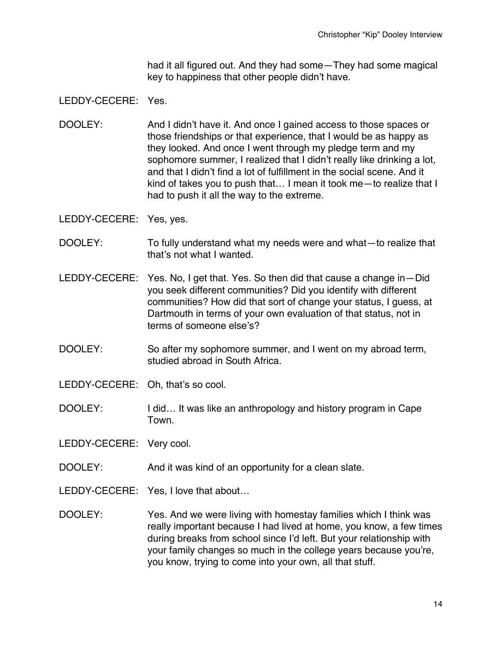had it all figured out. And they had some—They had some magical key to happiness that other people didn't have.

#### LEDDY-CECERE: Yes.

DOOLEY: And I didn't have it. And once I gained access to those spaces or those friendships or that experience, that I would be as happy as they looked. And once I went through my pledge term and my sophomore summer, I realized that I didn't really like drinking a lot, and that I didn't find a lot of fulfillment in the social scene. And it kind of takes you to push that… I mean it took me—to realize that I had to push it all the way to the extreme.

LEDDY-CECERE: Yes, yes.

- DOOLEY: To fully understand what my needs were and what—to realize that that's not what I wanted.
- LEDDY-CECERE: Yes. No, I get that. Yes. So then did that cause a change in—Did you seek different communities? Did you identify with different communities? How did that sort of change your status, I guess, at Dartmouth in terms of your own evaluation of that status, not in terms of someone else's?
- DOOLEY: So after my sophomore summer, and I went on my abroad term, studied abroad in South Africa.
- LEDDY-CECERE: Oh, that's so cool.
- DOOLEY: I did... It was like an anthropology and history program in Cape Town.

LEDDY-CECERE: Very cool.

- DOOLEY: And it was kind of an opportunity for a clean slate.
- LEDDY-CECERE: Yes, I love that about...
- DOOLEY: Yes. And we were living with homestay families which I think was really important because I had lived at home, you know, a few times during breaks from school since I'd left. But your relationship with your family changes so much in the college years because you're, you know, trying to come into your own, all that stuff.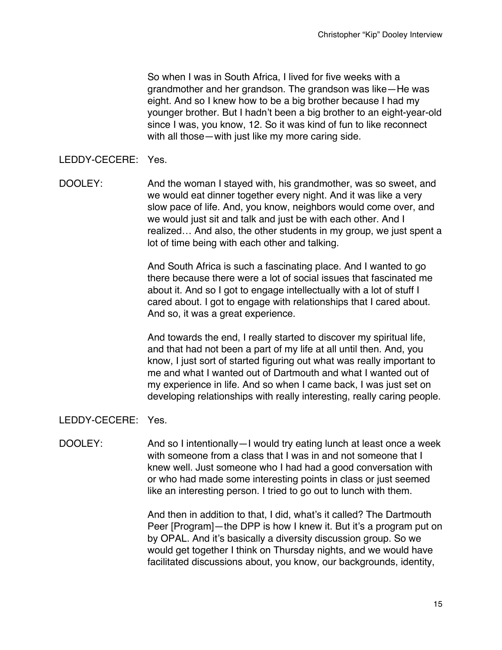So when I was in South Africa, I lived for five weeks with a grandmother and her grandson. The grandson was like—He was eight. And so I knew how to be a big brother because I had my younger brother. But I hadn't been a big brother to an eight-year-old since I was, you know, 12. So it was kind of fun to like reconnect with all those—with just like my more caring side.

#### LEDDY-CECERE: Yes.

DOOLEY: And the woman I stayed with, his grandmother, was so sweet, and we would eat dinner together every night. And it was like a very slow pace of life. And, you know, neighbors would come over, and we would just sit and talk and just be with each other. And I realized… And also, the other students in my group, we just spent a lot of time being with each other and talking.

> And South Africa is such a fascinating place. And I wanted to go there because there were a lot of social issues that fascinated me about it. And so I got to engage intellectually with a lot of stuff I cared about. I got to engage with relationships that I cared about. And so, it was a great experience.

And towards the end, I really started to discover my spiritual life, and that had not been a part of my life at all until then. And, you know, I just sort of started figuring out what was really important to me and what I wanted out of Dartmouth and what I wanted out of my experience in life. And so when I came back, I was just set on developing relationships with really interesting, really caring people.

## LEDDY-CECERE: Yes.

DOOLEY: And so I intentionally—I would try eating lunch at least once a week with someone from a class that I was in and not someone that I knew well. Just someone who I had had a good conversation with or who had made some interesting points in class or just seemed like an interesting person. I tried to go out to lunch with them.

> And then in addition to that, I did, what's it called? The Dartmouth Peer [Program]—the DPP is how I knew it. But it's a program put on by OPAL. And it's basically a diversity discussion group. So we would get together I think on Thursday nights, and we would have facilitated discussions about, you know, our backgrounds, identity,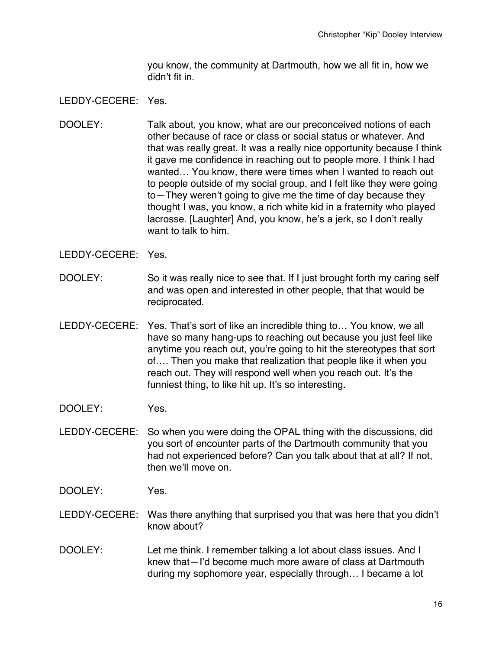you know, the community at Dartmouth, how we all fit in, how we didn't fit in.

## LEDDY-CECERE: Yes.

DOOLEY: Talk about, you know, what are our preconceived notions of each other because of race or class or social status or whatever. And that was really great. It was a really nice opportunity because I think it gave me confidence in reaching out to people more. I think I had wanted… You know, there were times when I wanted to reach out to people outside of my social group, and I felt like they were going to—They weren't going to give me the time of day because they thought I was, you know, a rich white kid in a fraternity who played lacrosse. [Laughter] And, you know, he's a jerk, so I don't really want to talk to him.

- DOOLEY: So it was really nice to see that. If I just brought forth my caring self and was open and interested in other people, that that would be reciprocated.
- LEDDY-CECERE: Yes. That's sort of like an incredible thing to… You know, we all have so many hang-ups to reaching out because you just feel like anytime you reach out, you're going to hit the stereotypes that sort of…. Then you make that realization that people like it when you reach out. They will respond well when you reach out. It's the funniest thing, to like hit up. It's so interesting.
- DOOLEY: Yes.
- LEDDY-CECERE: So when you were doing the OPAL thing with the discussions, did you sort of encounter parts of the Dartmouth community that you had not experienced before? Can you talk about that at all? If not, then we'll move on.
- DOOLEY: Yes.
- LEDDY-CECERE: Was there anything that surprised you that was here that you didn't know about?
- DOOLEY: Let me think. I remember talking a lot about class issues. And I knew that—I'd become much more aware of class at Dartmouth during my sophomore year, especially through… I became a lot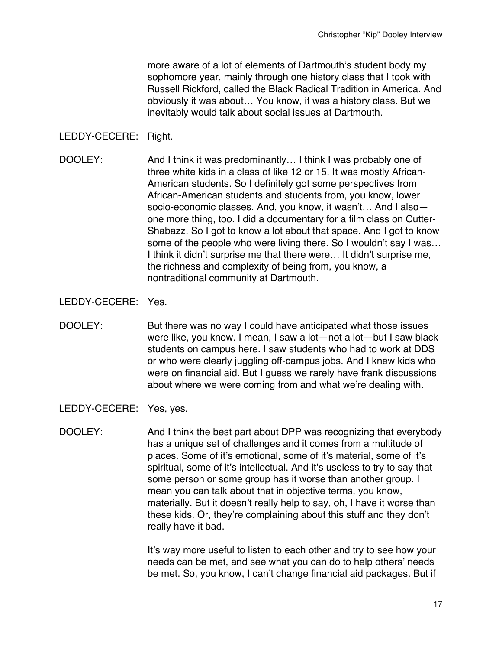more aware of a lot of elements of Dartmouth's student body my sophomore year, mainly through one history class that I took with Russell Rickford, called the Black Radical Tradition in America. And obviously it was about… You know, it was a history class. But we inevitably would talk about social issues at Dartmouth.

## LEDDY-CECERE: Right.

DOOLEY: And I think it was predominantly… I think I was probably one of three white kids in a class of like 12 or 15. It was mostly African-American students. So I definitely got some perspectives from African-American students and students from, you know, lower socio-economic classes. And, you know, it wasn't… And I also one more thing, too. I did a documentary for a film class on Cutter-Shabazz. So I got to know a lot about that space. And I got to know some of the people who were living there. So I wouldn't say I was... I think it didn't surprise me that there were… It didn't surprise me, the richness and complexity of being from, you know, a nontraditional community at Dartmouth.

## LEDDY-CECERE: Yes.

- DOOLEY: But there was no way I could have anticipated what those issues were like, you know. I mean, I saw a lot—not a lot—but I saw black students on campus here. I saw students who had to work at DDS or who were clearly juggling off-campus jobs. And I knew kids who were on financial aid. But I guess we rarely have frank discussions about where we were coming from and what we're dealing with.
- LEDDY-CECERE: Yes, yes.
- DOOLEY: And I think the best part about DPP was recognizing that everybody has a unique set of challenges and it comes from a multitude of places. Some of it's emotional, some of it's material, some of it's spiritual, some of it's intellectual. And it's useless to try to say that some person or some group has it worse than another group. I mean you can talk about that in objective terms, you know, materially. But it doesn't really help to say, oh, I have it worse than these kids. Or, they're complaining about this stuff and they don't really have it bad.

It's way more useful to listen to each other and try to see how your needs can be met, and see what you can do to help others' needs be met. So, you know, I can't change financial aid packages. But if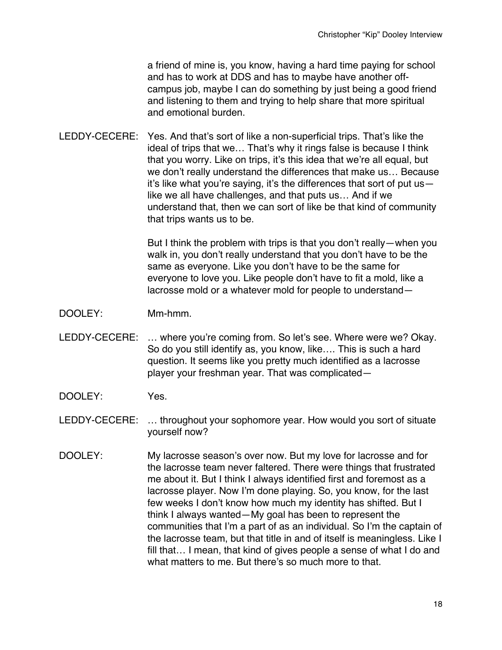a friend of mine is, you know, having a hard time paying for school and has to work at DDS and has to maybe have another offcampus job, maybe I can do something by just being a good friend and listening to them and trying to help share that more spiritual and emotional burden.

LEDDY-CECERE: Yes. And that's sort of like a non-superficial trips. That's like the ideal of trips that we… That's why it rings false is because I think that you worry. Like on trips, it's this idea that we're all equal, but we don't really understand the differences that make us… Because it's like what you're saying, it's the differences that sort of put us like we all have challenges, and that puts us… And if we understand that, then we can sort of like be that kind of community that trips wants us to be.

> But I think the problem with trips is that you don't really—when you walk in, you don't really understand that you don't have to be the same as everyone. Like you don't have to be the same for everyone to love you. Like people don't have to fit a mold, like a lacrosse mold or a whatever mold for people to understand—

- DOOLEY: Mm-hmm.
- LEDDY-CECERE: … where you're coming from. So let's see. Where were we? Okay. So do you still identify as, you know, like…. This is such a hard question. It seems like you pretty much identified as a lacrosse player your freshman year. That was complicated—
- DOOLEY: Yes.
- LEDDY-CECERE: … throughout your sophomore year. How would you sort of situate yourself now?
- DOOLEY: My lacrosse season's over now. But my love for lacrosse and for the lacrosse team never faltered. There were things that frustrated me about it. But I think I always identified first and foremost as a lacrosse player. Now I'm done playing. So, you know, for the last few weeks I don't know how much my identity has shifted. But I think I always wanted—My goal has been to represent the communities that I'm a part of as an individual. So I'm the captain of the lacrosse team, but that title in and of itself is meaningless. Like I fill that… I mean, that kind of gives people a sense of what I do and what matters to me. But there's so much more to that.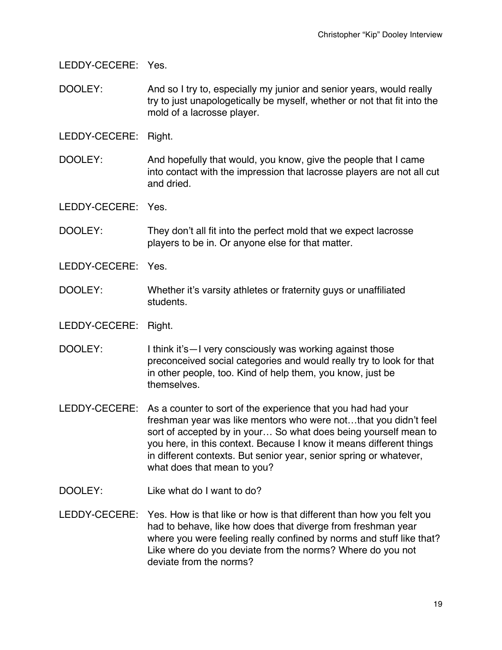LEDDY-CECERE: Yes.

- DOOLEY: And so I try to, especially my junior and senior years, would really try to just unapologetically be myself, whether or not that fit into the mold of a lacrosse player.
- LEDDY-CECERE: Right.
- DOOLEY: And hopefully that would, you know, give the people that I came into contact with the impression that lacrosse players are not all cut and dried.

- DOOLEY: They don't all fit into the perfect mold that we expect lacrosse players to be in. Or anyone else for that matter.
- LEDDY-CECERE: Yes.
- DOOLEY: Whether it's varsity athletes or fraternity guys or unaffiliated students.
- LEDDY-CECERE: Right.
- DOOLEY: I think it's—I very consciously was working against those preconceived social categories and would really try to look for that in other people, too. Kind of help them, you know, just be themselves.
- LEDDY-CECERE: As a counter to sort of the experience that you had had your freshman year was like mentors who were not…that you didn't feel sort of accepted by in your… So what does being yourself mean to you here, in this context. Because I know it means different things in different contexts. But senior year, senior spring or whatever, what does that mean to you?
- DOOLEY: Like what do I want to do?
- LEDDY-CECERE: Yes. How is that like or how is that different than how you felt you had to behave, like how does that diverge from freshman year where you were feeling really confined by norms and stuff like that? Like where do you deviate from the norms? Where do you not deviate from the norms?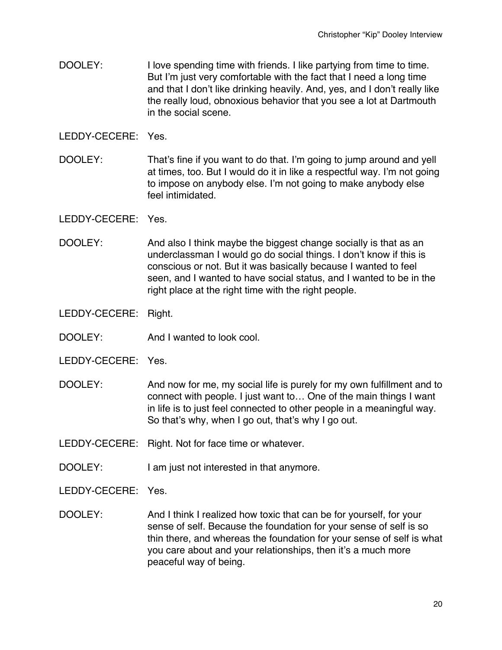DOOLEY: I love spending time with friends. I like partying from time to time. But I'm just very comfortable with the fact that I need a long time and that I don't like drinking heavily. And, yes, and I don't really like the really loud, obnoxious behavior that you see a lot at Dartmouth in the social scene.

LEDDY-CECERE: Yes.

DOOLEY: That's fine if you want to do that. I'm going to jump around and yell at times, too. But I would do it in like a respectful way. I'm not going to impose on anybody else. I'm not going to make anybody else feel intimidated.

#### LEDDY-CECERE: Yes.

DOOLEY: And also I think maybe the biggest change socially is that as an underclassman I would go do social things. I don't know if this is conscious or not. But it was basically because I wanted to feel seen, and I wanted to have social status, and I wanted to be in the right place at the right time with the right people.

- DOOLEY: And I wanted to look cool.
- LEDDY-CECERE: Yes.
- DOOLEY: And now for me, my social life is purely for my own fulfillment and to connect with people. I just want to… One of the main things I want in life is to just feel connected to other people in a meaningful way. So that's why, when I go out, that's why I go out.
- LEDDY-CECERE: Right. Not for face time or whatever.
- DOOLEY: I am just not interested in that anymore.
- LEDDY-CECERE: Yes.
- DOOLEY: And I think I realized how toxic that can be for yourself, for your sense of self. Because the foundation for your sense of self is so thin there, and whereas the foundation for your sense of self is what you care about and your relationships, then it's a much more peaceful way of being.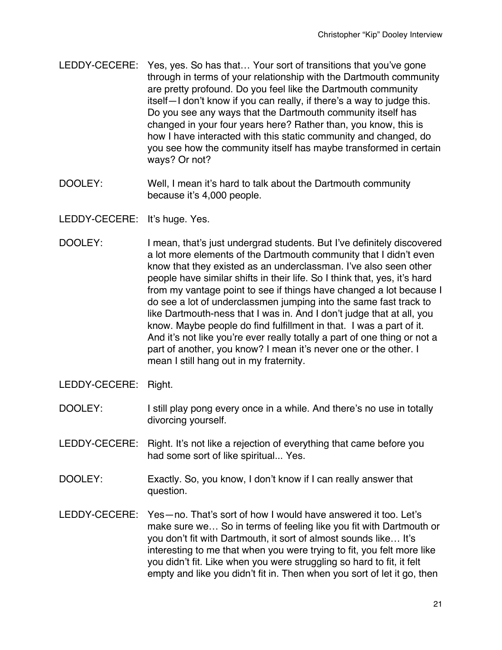- LEDDY-CECERE: Yes, yes. So has that… Your sort of transitions that you've gone through in terms of your relationship with the Dartmouth community are pretty profound. Do you feel like the Dartmouth community itself—I don't know if you can really, if there's a way to judge this. Do you see any ways that the Dartmouth community itself has changed in your four years here? Rather than, you know, this is how I have interacted with this static community and changed, do you see how the community itself has maybe transformed in certain ways? Or not?
- DOOLEY: Well, I mean it's hard to talk about the Dartmouth community because it's 4,000 people.
- LEDDY-CECERE: It's huge. Yes.
- DOOLEY: I mean, that's just undergrad students. But I've definitely discovered a lot more elements of the Dartmouth community that I didn't even know that they existed as an underclassman. I've also seen other people have similar shifts in their life. So I think that, yes, it's hard from my vantage point to see if things have changed a lot because I do see a lot of underclassmen jumping into the same fast track to like Dartmouth-ness that I was in. And I don't judge that at all, you know. Maybe people do find fulfillment in that. I was a part of it. And it's not like you're ever really totally a part of one thing or not a part of another, you know? I mean it's never one or the other. I mean I still hang out in my fraternity.
- LEDDY-CECERE: Right.
- DOOLEY: I still play pong every once in a while. And there's no use in totally divorcing yourself.
- LEDDY-CECERE: Right. It's not like a rejection of everything that came before you had some sort of like spiritual... Yes.
- DOOLEY: Exactly. So, you know, I don't know if I can really answer that question.
- LEDDY-CECERE: Yes—no. That's sort of how I would have answered it too. Let's make sure we… So in terms of feeling like you fit with Dartmouth or you don't fit with Dartmouth, it sort of almost sounds like… It's interesting to me that when you were trying to fit, you felt more like you didn't fit. Like when you were struggling so hard to fit, it felt empty and like you didn't fit in. Then when you sort of let it go, then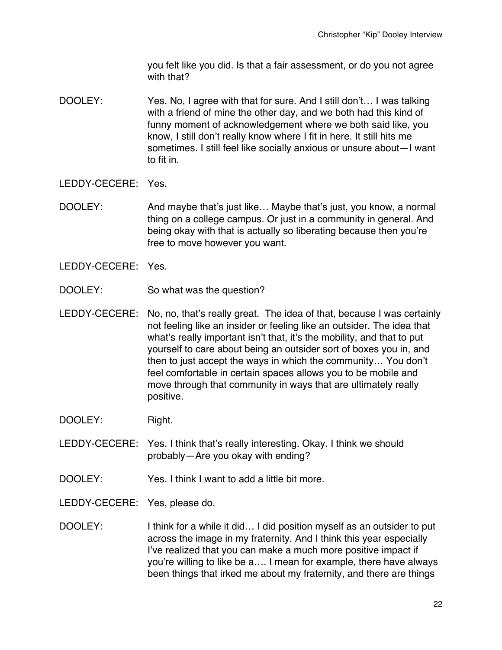you felt like you did. Is that a fair assessment, or do you not agree with that?

DOOLEY: Yes. No, I agree with that for sure. And I still don't… I was talking with a friend of mine the other day, and we both had this kind of funny moment of acknowledgement where we both said like, you know, I still don't really know where I fit in here. It still hits me sometimes. I still feel like socially anxious or unsure about—I want to fit in.

- DOOLEY: And maybe that's just like... Maybe that's just, you know, a normal thing on a college campus. Or just in a community in general. And being okay with that is actually so liberating because then you're free to move however you want.
- LEDDY-CECERE: Yes.
- DOOLEY: So what was the question?
- LEDDY-CECERE: No, no, that's really great. The idea of that, because I was certainly not feeling like an insider or feeling like an outsider. The idea that what's really important isn't that, it's the mobility, and that to put yourself to care about being an outsider sort of boxes you in, and then to just accept the ways in which the community… You don't feel comfortable in certain spaces allows you to be mobile and move through that community in ways that are ultimately really positive.
- DOOLEY: Right.
- LEDDY-CECERE: Yes. I think that's really interesting. Okay. I think we should probably—Are you okay with ending?
- DOOLEY: Yes. I think I want to add a little bit more.
- LEDDY-CECERE: Yes, please do.
- DOOLEY: I think for a while it did... I did position myself as an outsider to put across the image in my fraternity. And I think this year especially I've realized that you can make a much more positive impact if you're willing to like be a…. I mean for example, there have always been things that irked me about my fraternity, and there are things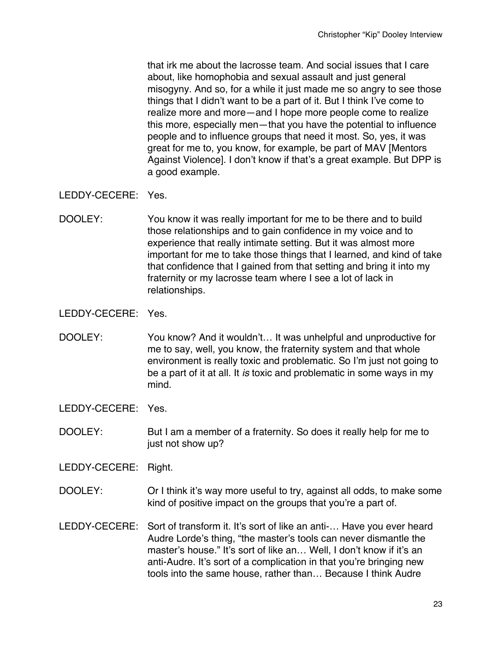that irk me about the lacrosse team. And social issues that I care about, like homophobia and sexual assault and just general misogyny. And so, for a while it just made me so angry to see those things that I didn't want to be a part of it. But I think I've come to realize more and more—and I hope more people come to realize this more, especially men—that you have the potential to influence people and to influence groups that need it most. So, yes, it was great for me to, you know, for example, be part of MAV [Mentors Against Violence]. I don't know if that's a great example. But DPP is a good example.

LEDDY-CECERE: Yes.

DOOLEY: You know it was really important for me to be there and to build those relationships and to gain confidence in my voice and to experience that really intimate setting. But it was almost more important for me to take those things that I learned, and kind of take that confidence that I gained from that setting and bring it into my fraternity or my lacrosse team where I see a lot of lack in relationships.

LEDDY-CECERE: Yes.

DOOLEY: You know? And it wouldn't… It was unhelpful and unproductive for me to say, well, you know, the fraternity system and that whole environment is really toxic and problematic. So I'm just not going to be a part of it at all. It *is* toxic and problematic in some ways in my mind.

LEDDY-CECERE: Yes.

DOOLEY: But I am a member of a fraternity. So does it really help for me to just not show up?

- DOOLEY: Or I think it's way more useful to try, against all odds, to make some kind of positive impact on the groups that you're a part of.
- LEDDY-CECERE: Sort of transform it. It's sort of like an anti-... Have you ever heard Audre Lorde's thing, "the master's tools can never dismantle the master's house." It's sort of like an... Well, I don't know if it's an anti-Audre. It's sort of a complication in that you're bringing new tools into the same house, rather than… Because I think Audre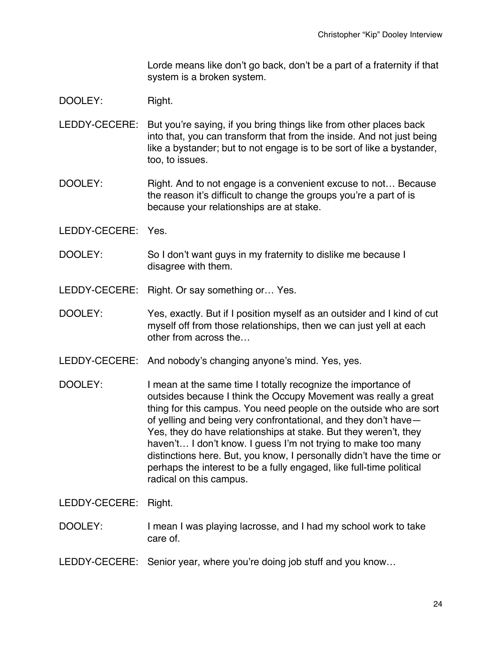Lorde means like don't go back, don't be a part of a fraternity if that system is a broken system.

# DOOLEY: Right.

- LEDDY-CECERE: But you're saying, if you bring things like from other places back into that, you can transform that from the inside. And not just being like a bystander; but to not engage is to be sort of like a bystander, too, to issues.
- DOOLEY: Right. And to not engage is a convenient excuse to not... Because the reason it's difficult to change the groups you're a part of is because your relationships are at stake.
- LEDDY-CECERE: Yes.
- DOOLEY: So I don't want guys in my fraternity to dislike me because I disagree with them.
- LEDDY-CECERE: Right. Or say something or… Yes.
- DOOLEY: Yes, exactly. But if I position myself as an outsider and I kind of cut myself off from those relationships, then we can just yell at each other from across the…
- LEDDY-CECERE: And nobody's changing anyone's mind. Yes, yes.
- DOOLEY: I mean at the same time I totally recognize the importance of outsides because I think the Occupy Movement was really a great thing for this campus. You need people on the outside who are sort of yelling and being very confrontational, and they don't have— Yes, they do have relationships at stake. But they weren't, they haven't... I don't know. I quess I'm not trying to make too many distinctions here. But, you know, I personally didn't have the time or perhaps the interest to be a fully engaged, like full-time political radical on this campus.

- DOOLEY: I mean I was playing lacrosse, and I had my school work to take care of.
- LEDDY-CECERE: Senior year, where you're doing job stuff and you know…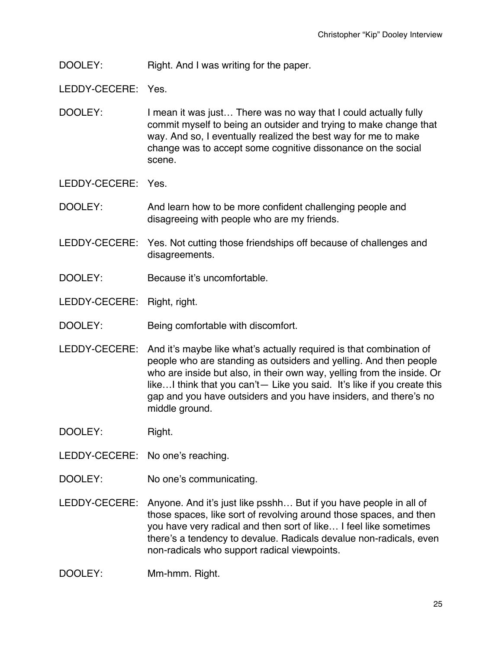DOOLEY: Right. And I was writing for the paper.

- DOOLEY: I mean it was just... There was no way that I could actually fully commit myself to being an outsider and trying to make change that way. And so, I eventually realized the best way for me to make change was to accept some cognitive dissonance on the social scene.
- LEDDY-CECERE: Yes.
- DOOLEY: And learn how to be more confident challenging people and disagreeing with people who are my friends.
- LEDDY-CECERE: Yes. Not cutting those friendships off because of challenges and disagreements.
- DOOLEY: Because it's uncomfortable.
- LEDDY-CECERE: Right, right.
- DOOLEY: Being comfortable with discomfort.
- LEDDY-CECERE: And it's maybe like what's actually required is that combination of people who are standing as outsiders and yelling. And then people who are inside but also, in their own way, yelling from the inside. Or like…I think that you can't— Like you said. It's like if you create this gap and you have outsiders and you have insiders, and there's no middle ground.
- DOOLEY: Right.
- LEDDY-CECERE: No one's reaching.
- DOOLEY: No one's communicating.
- LEDDY-CECERE: Anyone. And it's just like psshh… But if you have people in all of those spaces, like sort of revolving around those spaces, and then you have very radical and then sort of like… I feel like sometimes there's a tendency to devalue. Radicals devalue non-radicals, even non-radicals who support radical viewpoints.
- DOOLEY: Mm-hmm. Right.